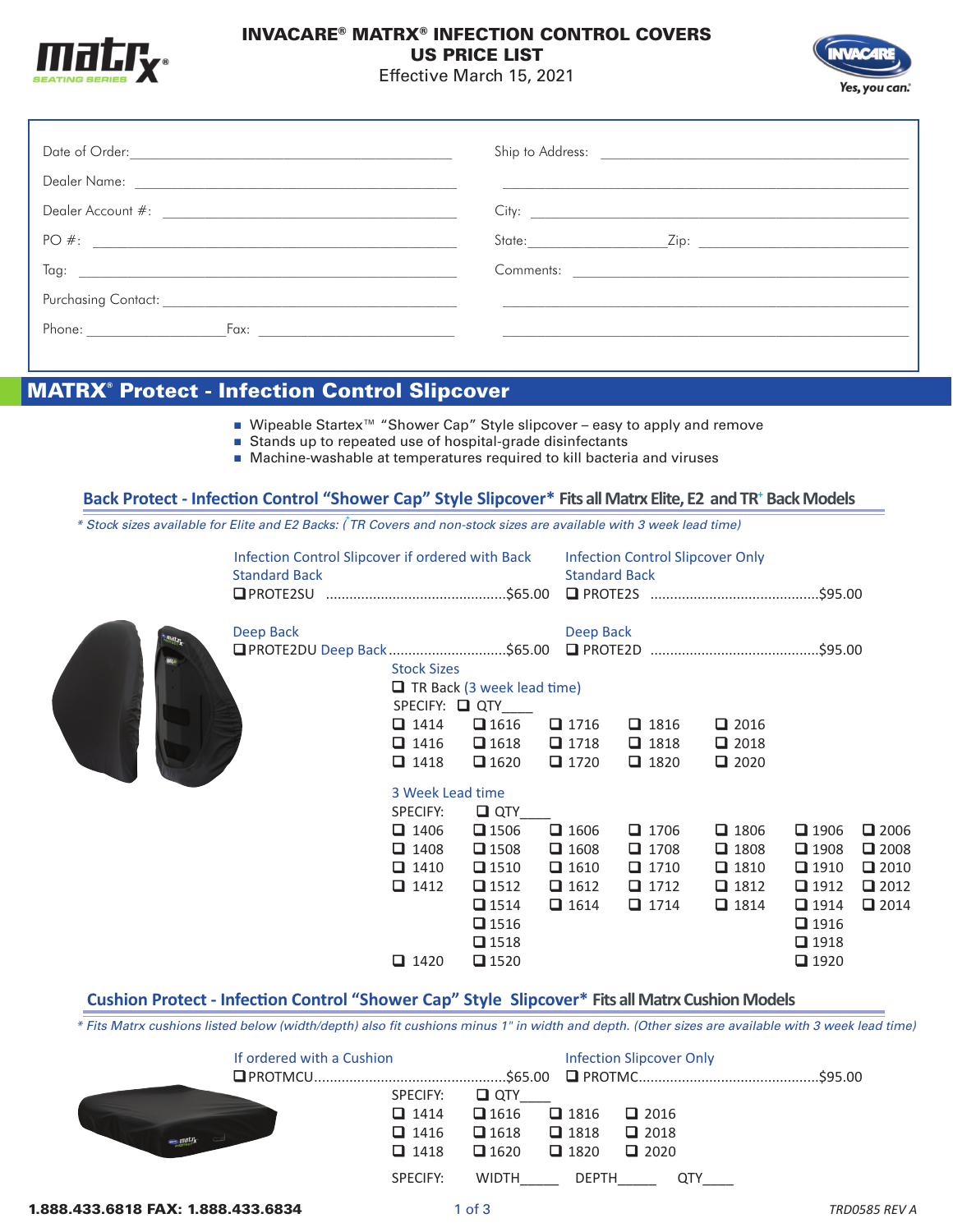

## INVACARE® MATRX® INFECTION CONTROL COVERS US PRICE LIST

Effective March 15, 2021



|                                                                                                                                                                                                                                | City:                      |
|--------------------------------------------------------------------------------------------------------------------------------------------------------------------------------------------------------------------------------|----------------------------|
| PO#:                                                                                                                                                                                                                           | State: <b>Example 2014</b> |
| Tag: the contract of the contract of the contract of the contract of the contract of the contract of the contract of the contract of the contract of the contract of the contract of the contract of the contract of the contr |                            |
|                                                                                                                                                                                                                                |                            |
| Phone:                                                                                                                                                                                                                         |                            |

## MATRX® Protect - Infection Control Slipcover

- Wipeable Startex<sup>™</sup> "Shower Cap" Style slipcover easy to apply and remove
- Stands up to repeated use of hospital-grade disinfectants
- Machine-washable at temperatures required to kill bacteria and viruses

#### **Back Protect - Infection Control "Shower Cap" Style Slipcover\* Fits all Matrx Elite, E2 and TR<sup>+</sup> Back Models**

*\* Stock sizes available for Elite and E2 Backs: (***<sup>+</sup>** *TR Covers and non-stock sizes are available with 3 week lead time)*

| Infection Control Slipcover if ordered with Back<br><b>Standard Back</b> |                                                                                     |                                                                                                                      | <b>Standard Back</b>                                                    | <b>Infection Control Slipcover Only</b>                                 |                                                                         |                                                                                                                      |                                                                               |
|--------------------------------------------------------------------------|-------------------------------------------------------------------------------------|----------------------------------------------------------------------------------------------------------------------|-------------------------------------------------------------------------|-------------------------------------------------------------------------|-------------------------------------------------------------------------|----------------------------------------------------------------------------------------------------------------------|-------------------------------------------------------------------------------|
| Deep Back                                                                | <b>Stock Sizes</b><br>$\Box$ 1414<br>$\Box$ 1416<br>$\Box$ 1418<br>3 Week Lead time | $\Box$ TR Back (3 week lead time)<br>SPECIFY: Q QTY<br>$\Box$ 1616<br>$\Box$ 1618<br>$\Box$ 1620                     | Deep Back<br>$\Box$ 1716<br>$\Box$ 1718<br>$\Box$ 1720                  | $\Box$ 1816<br>$\Box$ 1818<br>$\Box$ 1820                               | $\Box$ 2016<br>$\Box$ 2018<br>$\Box$ 2020                               |                                                                                                                      |                                                                               |
|                                                                          | SPECIFY:                                                                            | $\Box$ QTY                                                                                                           |                                                                         |                                                                         |                                                                         |                                                                                                                      |                                                                               |
|                                                                          | $\Box$ 1406<br>$\Box$ 1408<br>$\Box$ 1410<br>$\Box$ 1412<br>$\Box$ 1420             | $\Box$ 1506<br>$\Box$ 1508<br>$\Box$ 1510<br>$\Box$ 1512<br>$\Box$ 1514<br>$\Box$ 1516<br>$\Box$ 1518<br>$\Box$ 1520 | $\Box$ 1606<br>$\Box$ 1608<br>$\Box$ 1610<br>$\Box$ 1612<br>$\Box$ 1614 | $\Box$ 1706<br>$\Box$ 1708<br>$\Box$ 1710<br>$\Box$ 1712<br>$\Box$ 1714 | $\Box$ 1806<br>$\Box$ 1808<br>$\Box$ 1810<br>$\Box$ 1812<br>$\Box$ 1814 | $\Box$ 1906<br>$\Box$ 1908<br>$\Box$ 1910<br>$\Box$ 1912<br>$\Box$ 1914<br>$\Box$ 1916<br>$\Box$ 1918<br>$\Box$ 1920 | $\Box$ 2006<br>$\Box$ 2008<br>$\Box$ 2010<br>$\square$ 2012<br>$\square$ 2014 |

### **Cushion Protect Infection Control "Shower Cap" Style Slipcover\* Fits all Matrx Cushion Models**

*\* Fits Matrx cushions listed below (width/depth) also fit cushions minus 1" in width and depth. (Other sizes are available with 3 week lead time)*

| If ordered with a Cushion |                                                                                                                                                          | <b>Infection Slipcover Only</b>                                                  | .\$95.00 |
|---------------------------|----------------------------------------------------------------------------------------------------------------------------------------------------------|----------------------------------------------------------------------------------|----------|
| $\bigcirc$ matrix         | $\Box$ QTY<br>SPECIFY:<br>$\Box$ 1616<br>$\Box$ 1414<br>$\Box$ 1618 $\Box$ 1818<br>$\Box$ 1416<br>$\Box$ 1620<br>$\Box$ 1418<br><b>WIDTH</b><br>SPECIFY: | $\Box$ 1816<br>$\Box$ 2016<br>$\Box$ 2018<br>$\Box$ 1820<br>$\Box$ 2020<br>DEPTH |          |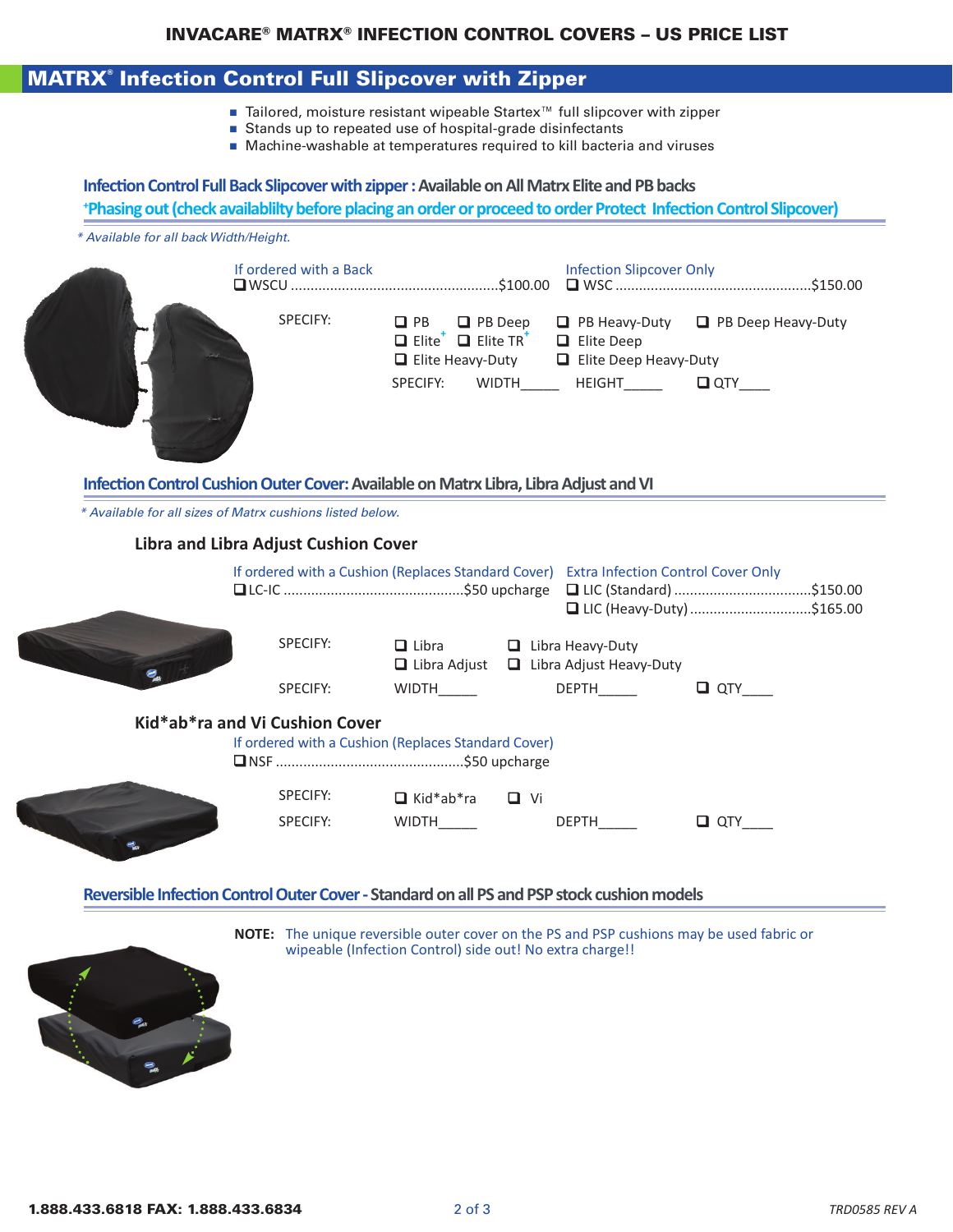## INVACARE® MATRX® INFECTION CONTROL COVERS – US PRICE LIST

# MATRX® Infection Control Full Slipcover with Zipper

- Tailored, moisture resistant wipeable Startex<sup>™</sup> full slipcover with zipper
- Stands up to repeated use of hospital-grade disinfectants
- Machine-washable at temperatures required to kill bacteria and viruses

# **Infection Control Full Back Slipcover with zipper : Available on All Matrx Elite and PB backs + Phasing out (check availablilty before placing an order or proceed to order Protect Infection Control Slipcover)**  *\* Available for all back Width/Height.*  If ordered with a Back Infection Slipcover Only qWSCU .....................................................\$100.00 q WSC ..................................................\$150.00 SPECIFY: **Q** PB **Q** PB Deep **Q** PB Heavy-Duty **Q** PB Deep Heavy-Duty q Elite**<sup>+</sup>** q Elite TR**<sup>+</sup>** q Elite Deep  $\Box$  Elite Heavy-Duty  $\Box$  Elite Deep Heavy-Duty SPECIFY: WIDTH HEIGHT QTY **Infection Control Cushion Outer Cover: Available on Matrx Libra, Libra Adjust and VI** *\* Available for all sizes of Matrx cushions listed below.* **Libra and Libra Adjust Cushion Cover**  If ordered with a Cushion (Replaces Standard Cover) Extra Infection Control Cover Only qLCIC ..............................................\$50 upcharge q LIC (Standard) ...................................\$150.00 q LIC (HeavyDuty)...............................\$165.00 SPECIFY:  $\Box$  Libra  $\Box$  Libra Heavy-Duty **Q** Libra Adjust  $\Box$  Libra Adjust Heavy-Duty SPECIFY: WIDTH\_\_\_\_\_ DEPTH\_\_\_\_ DEPTH\_\_\_\_\_ DEPTH\_\_\_\_\_\_\_ **QTY\_\_\_\_ Kid\*ab\*ra and Vi Cushion Cover** If ordered with a Cushion (Replaces Standard Cover) qNSF ................................................\$50 upcharge SPECIFY: **q** Kid\*ab\*ra **q** Vi SPECIFY: WIDTH\_\_\_\_\_ DEPTH\_\_\_\_\_ DEPTH\_\_\_\_\_ **Q** QTY\_\_\_ **Reversible Infection Control Outer Cover Standard on all PS and PSP stock cushion models**



**NOTE:** The unique reversible outer cover on the PS and PSP cushions may be used fabric or wipeable (Infection Control) side out! No extra charge!!